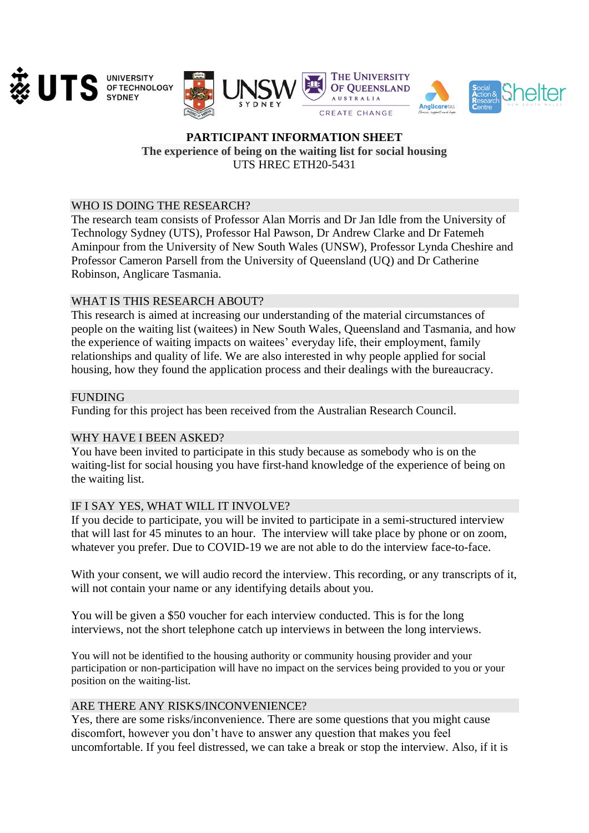





# **PARTICIPANT INFORMATION SHEET The experience of being on the waiting list for social housing**  UTS HREC ETH20-5431

## WHO IS DOING THE RESEARCH?

The research team consists of Professor Alan Morris and Dr Jan Idle from the University of Technology Sydney (UTS), Professor Hal Pawson, Dr Andrew Clarke and Dr Fatemeh Aminpour from the University of New South Wales (UNSW), Professor Lynda Cheshire and Professor Cameron Parsell from the University of Queensland (UQ) and Dr Catherine Robinson, Anglicare Tasmania.

# WHAT IS THIS RESEARCH ABOUT?

This research is aimed at increasing our understanding of the material circumstances of people on the waiting list (waitees) in New South Wales, Queensland and Tasmania, and how the experience of waiting impacts on waitees' everyday life, their employment, family relationships and quality of life. We are also interested in why people applied for social housing, how they found the application process and their dealings with the bureaucracy.

### **FUNDING**

Funding for this project has been received from the Australian Research Council.

### WHY HAVE I BEEN ASKED?

You have been invited to participate in this study because as somebody who is on the waiting-list for social housing you have first-hand knowledge of the experience of being on the waiting list.

### IF I SAY YES, WHAT WILL IT INVOLVE?

If you decide to participate, you will be invited to participate in a semi-structured interview that will last for 45 minutes to an hour. The interview will take place by phone or on zoom, whatever you prefer. Due to COVID-19 we are not able to do the interview face-to-face.

With your consent, we will audio record the interview. This recording, or any transcripts of it, will not contain your name or any identifying details about you.

You will be given a \$50 voucher for each interview conducted. This is for the long interviews, not the short telephone catch up interviews in between the long interviews.

You will not be identified to the housing authority or community housing provider and your participation or non-participation will have no impact on the services being provided to you or your position on the waiting-list.

### ARE THERE ANY RISKS/INCONVENIENCE?

Yes, there are some risks/inconvenience. There are some questions that you might cause discomfort, however you don't have to answer any question that makes you feel uncomfortable. If you feel distressed, we can take a break or stop the interview. Also, if it is